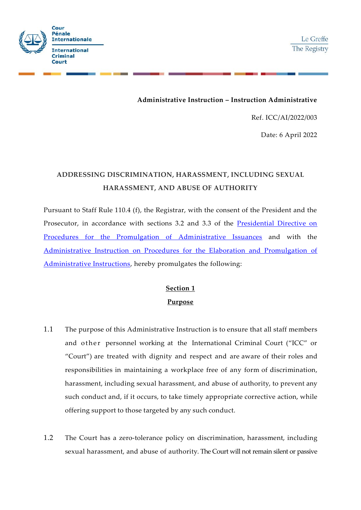



## **Administrative Instruction – Instruction Administrative**

Ref. ICC/AI/2022/003

Date: 6 April 2022

# **ADDRESSING DISCRIMINATION, HARASSMENT, INCLUDING SEXUAL HARASSMENT, AND ABUSE OF AUTHORITY**

Pursuant to Staff Rule 110.4 (f), the Registrar, with the consent of the President and the Prosecutor, in accordance with sections 3.2 and 3.3 of the [Presidential Directive on](https://web.dev.icc-cpi.int/sites/default/files/Vademecum/OT585535_ICC%20PRESD%20G%202003%20001%20%28ENG%29%20-%20PROCEDURES%20FOR%20THE%20PROMULGATION%20OF%20ADMINISTRATIVE%20ISSUANCES.PDF)  [Procedures for the Promulgation of Administrative Issuances](https://web.dev.icc-cpi.int/sites/default/files/Vademecum/OT585535_ICC%20PRESD%20G%202003%20001%20%28ENG%29%20-%20PROCEDURES%20FOR%20THE%20PROMULGATION%20OF%20ADMINISTRATIVE%20ISSUANCES.PDF) and with the [Administrative Instruction on Procedures for the Elaboration and Promulgation](https://www.icc-cpi.int/Vademecum/OT584374_ICC%20AI%202004%20001%20(ENG)%20-%20PROCEDURES%20FOR%20THE%20ELABORATION%20AND%20PROMULGATION%20OF%20ADMINISTRATIVE%20INSTRUCTIONS.PDF) of [Administrative Instructions,](https://www.icc-cpi.int/Vademecum/OT584374_ICC%20AI%202004%20001%20(ENG)%20-%20PROCEDURES%20FOR%20THE%20ELABORATION%20AND%20PROMULGATION%20OF%20ADMINISTRATIVE%20INSTRUCTIONS.PDF) hereby promulgates the following:

# **Section 1 Purpose**

- 1.1 The purpose of this Administrative Instruction is to ensure that all staff members and other personnel working at the International Criminal Court ("ICC" or "Court") are treated with dignity and respect and are aware of their roles and responsibilities in maintaining a workplace free of any form of discrimination, harassment, including sexual harassment, and abuse of authority, to prevent any such conduct and, if it occurs, to take timely appropriate corrective action, while offering support to those targeted by any such conduct.
- 1.2 The Court has a zero-tolerance policy on discrimination, harassment, including sexual harassment, and abuse of authority. The Court will not remain silent or passive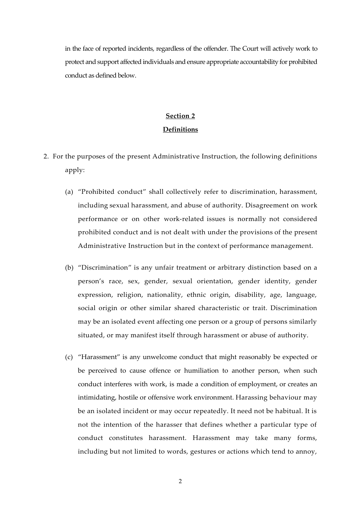in the face of reported incidents, regardless of the offender. The Court will actively work to protect and support affected individuals and ensure appropriate accountability for prohibited conduct as defined below.

# **Section 2 Definitions**

- 2. For the purposes of the present Administrative Instruction, the following definitions apply:
	- (a) "Prohibited conduct" shall collectively refer to discrimination, harassment, including sexual harassment, and abuse of authority. Disagreement on work performance or on other work-related issues is normally not considered prohibited conduct and is not dealt with under the provisions of the present Administrative Instruction but in the context of performance management.
	- (b) "Discrimination" is any unfair treatment or arbitrary distinction based on a person's race, sex, gender, sexual orientation, gender identity, gender expression, religion, nationality, ethnic origin, disability, age, language, social origin or other similar shared characteristic or trait. Discrimination may be an isolated event affecting one person or a group of persons similarly situated, or may manifest itself through harassment or abuse of authority.
	- (c) "Harassment" is any unwelcome conduct that might reasonably be expected or be perceived to cause offence or humiliation to another person, when such conduct interferes with work, is made a condition of employment, or creates an intimidating, hostile or offensive work environment. Harassing behaviour may be an isolated incident or may occur repeatedly. It need not be habitual. It is not the intention of the harasser that defines whether a particular type of conduct constitutes harassment. Harassment may take many forms, including but not limited to words, gestures or actions which tend to annoy,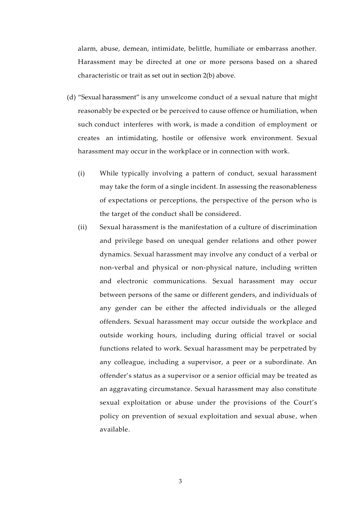alarm, abuse, demean, intimidate, belittle, humiliate or embarrass another. Harassment may be directed at one or more persons based on a shared characteristic or trait as set out in section 2(b) above.

- (d) "Sexual harassment" is any unwelcome conduct of a sexual nature that might reasonably be expected or be perceived to cause offence or humiliation, when such conduct interferes with work, is made a condition of employment or creates an intimidating, hostile or offensive work environment. Sexual harassment may occur in the workplace or in connection with work.
	- (i) While typically involving a pattern of conduct, sexual harassment may take the form of a single incident. In assessing the reasonableness of expectations or perceptions, the perspective of the person who is the target of the conduct shall be considered.
	- (ii) Sexual harassment is the manifestation of a culture of discrimination and privilege based on unequal gender relations and other power dynamics. Sexual harassment may involve any conduct of a verbal or non-verbal and physical or non-physical nature, including written and electronic communications. Sexual harassment may occur between persons of the same or different genders, and individuals of any gender can be either the affected individuals or the alleged offenders. Sexual harassment may occur outside the workplace and outside working hours, including during official travel or social functions related to work. Sexual harassment may be perpetrated by any colleague, including a supervisor, a peer or a subordinate. An offender's status as a supervisor or a senior official may be treated as an aggravating circumstance. Sexual harassment may also constitute sexual exploitation or abuse under the provisions of the Court's policy on prevention of sexual exploitation and sexual abuse, when available.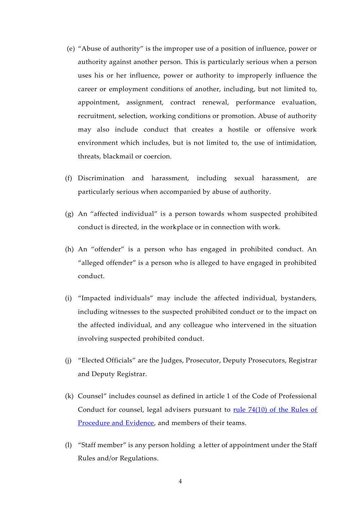- (e) "Abuse of authority" is the improper use of a position of influence, power or authority against another person. This is particularly serious when a person uses his or her influence, power or authority to improperly influence the career or employment conditions of another, including, but not limited to, appointment, assignment, contract renewal, performance evaluation, recruitment, selection, working conditions or promotion. Abuse of authority may also include conduct that creates a hostile or offensive work environment which includes, but is not limited to, the use of intimidation, threats, blackmail or coercion.
- (f) Discrimination and harassment, including sexual harassment, are particularly serious when accompanied by abuse of authority.
- (g) An "affected individual" is a person towards whom suspected prohibited conduct is directed, in the workplace or in connection with work.
- (h) An "offender" is a person who has engaged in prohibited conduct. An "alleged offender" is a person who is alleged to have engaged in prohibited conduct.
- (i) "Impacted individuals" may include the affected individual, bystanders, including witnesses to the suspected prohibited conduct or to the impact on the affected individual, and any colleague who intervened in the situation involving suspected prohibited conduct.
- (j) "Elected Officials" are the Judges, Prosecutor, Deputy Prosecutors, Registrar and Deputy Registrar.
- (k) Counsel" includes counsel as defined in article 1 of the Code of Professional Conduct for counsel, legal advisers pursuant to <u>rule 74(10)</u> of the Rules of [Procedure and Evidence,](https://www.icc-cpi.int/Publications/Rules-of-Procedure-and-Evidence.pdf#page=40) and members of their teams.
- (l) "Staff member" is any person holding a letter of appointment under the Staff Rules and/or Regulations.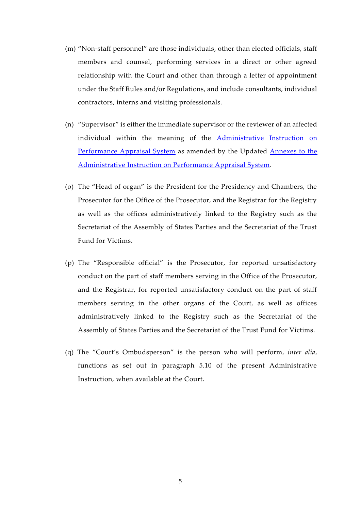- (m) "Non-staff personnel" are those individuals, other than elected officials, staff members and counsel, performing services in a direct or other agreed relationship with the Court and other than through a letter of appointment under the Staff Rules and/or Regulations, and include consultants, individual contractors, interns and visiting professionals.
- (n) "Supervisor" is either the immediate supervisor or the reviewer of an affected individual within the meaning of the [Administrative Instruction on](https://www.icc-cpi.int/Vademecum/OT2567390_ICC%20AI%202019%20003%20(ENG)%20-PERFORMANCE%20APPRAISAL%20SYSTEM.PDF)  [Performance Appraisal System](https://www.icc-cpi.int/Vademecum/OT2567390_ICC%20AI%202019%20003%20(ENG)%20-PERFORMANCE%20APPRAISAL%20SYSTEM.PDF) as amended by the Updated [Annexes to the](https://www.icc-cpi.int/Vademecum/ICC-AI-2021-001%20(ENG)%20-%20UPDATED%20ANNEXES%20TO%20THE%20ADMINISTRATIVE%20INSTRUCTION%20ON%20THE%20PERFORMANCE%20APPRAISAL%20SYSTEM%20-ICCAI2019003.pdf)  [Administrative Instruction on Performance Appraisal System.](https://www.icc-cpi.int/Vademecum/ICC-AI-2021-001%20(ENG)%20-%20UPDATED%20ANNEXES%20TO%20THE%20ADMINISTRATIVE%20INSTRUCTION%20ON%20THE%20PERFORMANCE%20APPRAISAL%20SYSTEM%20-ICCAI2019003.pdf)
- (o) The "Head of organ" is the President for the Presidency and Chambers, the Prosecutor for the Office of the Prosecutor, and the Registrar for the Registry as well as the offices administratively linked to the Registry such as the Secretariat of the Assembly of States Parties and the Secretariat of the Trust Fund for Victims.
- (p) The "Responsible official" is the Prosecutor, for reported unsatisfactory conduct on the part of staff members serving in the Office of the Prosecutor, and the Registrar, for reported unsatisfactory conduct on the part of staff members serving in the other organs of the Court, as well as offices administratively linked to the Registry such as the Secretariat of the Assembly of States Parties and the Secretariat of the Trust Fund for Victims.
- (q) The "Court's Ombudsperson" is the person who will perform, *inter alia*, functions as set out in paragraph 5.10 of the present Administrative Instruction, when available at the Court.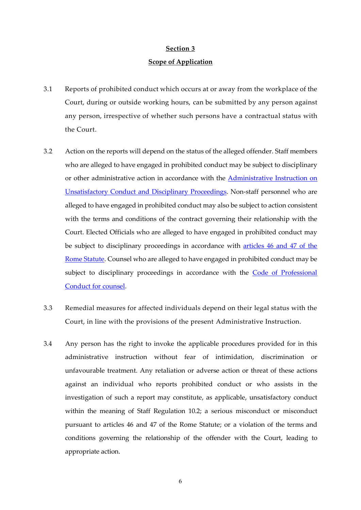# **Scope of Application**

- 3.1 Reports of prohibited conduct which occurs at or away from the workplace of the Court, during or outside working hours, can be submitted by any person against any person, irrespective of whether such persons have a contractual status with the Court.
- 3.2 Action on the reports will depend on the status of the alleged offender. Staff members who are alleged to have engaged in prohibited conduct may be subject to disciplinary or other administrative action in accordance with the **Administrative Instruction on** Unsatisfactory Conduct [and Disciplinary Proceedings.](https://www.icc-cpi.int/Vademecum/ICC_AI_2022_002-ENG_UNSATISFACTORY-CONDUCT-AND-DISCIPLINARY-PROCEEDINGS.pdf) Non-staff personnel who are alleged to have engaged in prohibited conduct may also be subject to action consistent with the terms and conditions of the contract governing their relationship with the Court. Elected Officials who are alleged to have engaged in prohibited conduct may be subject to disciplinary proceedings in accordance with [articles 46 and 47 of the](https://www.icc-cpi.int/Publications/Rome-Statute.pdf#page=39)  [Rome Statute.](https://www.icc-cpi.int/Publications/Rome-Statute.pdf#page=39) Counsel who are alleged to have engaged in prohibited conduct may be subject to disciplinary proceedings in accordance with the Code of Professional [Conduct for counsel.](https://www.icc-cpi.int/Publications/Code-of-Professional-Conduct-for-counsel.pdf)
- 3.3 Remedial measures for affected individuals depend on their legal status with the Court, in line with the provisions of the present Administrative Instruction.
- 3.4 Any person has the right to invoke the applicable procedures provided for in this administrative instruction without fear of intimidation, discrimination or unfavourable treatment. Any retaliation or adverse action or threat of these actions against an individual who reports prohibited conduct or who assists in the investigation of such a report may constitute, as applicable, unsatisfactory conduct within the meaning of Staff Regulation 10.2; a serious misconduct or misconduct pursuant to articles 46 and 47 of the Rome Statute; or a violation of the terms and conditions governing the relationship of the offender with the Court, leading to appropriate action.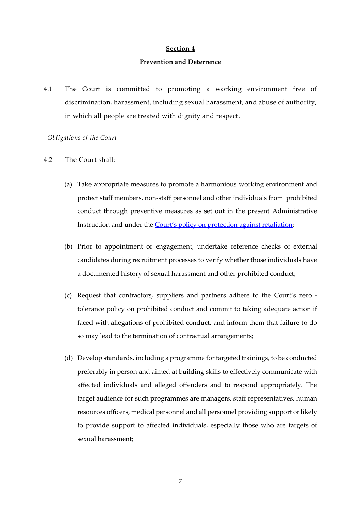#### **Prevention and Deterrence**

4.1 The Court is committed to promoting a working environment free of discrimination, harassment, including sexual harassment, and abuse of authority, in which all people are treated with dignity and respect.

#### *Obligations of the Court*

- 4.2 The Court shall:
	- (a) Take appropriate measures to promote a harmonious working environment and protect staff members, non-staff personnel and other individuals from prohibited conduct through preventive measures as set out in the present Administrative Instruction and under the [Court's policy on protection against retaliation](https://www.icc-cpi.int/resource-library/Vademecum/ICC%20Whistleblowing%20and%20Whistleblower%20Protection%20Policy.PDF);
	- (b) Prior to appointment or engagement, undertake reference checks of external candidates during recruitment processes to verify whether those individuals have a documented history of sexual harassment and other prohibited conduct;
	- (c) Request that contractors, suppliers and partners adhere to the Court's zero tolerance policy on prohibited conduct and commit to taking adequate action if faced with allegations of prohibited conduct, and inform them that failure to do so may lead to the termination of contractual arrangements;
	- (d) Develop standards, including a programme for targeted trainings, to be conducted preferably in person and aimed at building skills to effectively communicate with affected individuals and alleged offenders and to respond appropriately. The target audience for such programmes are managers, staff representatives, human resources officers, medical personnel and all personnel providing support or likely to provide support to affected individuals, especially those who are targets of sexual harassment;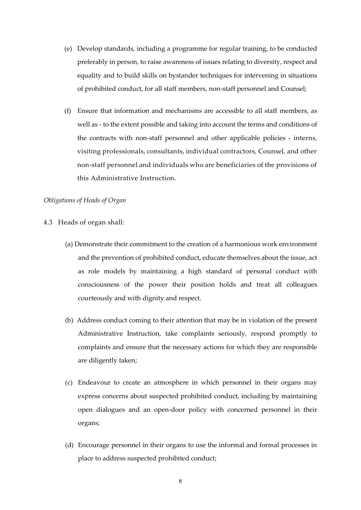- (e) Develop standards, including a programme for regular training, to be conducted preferably in person, to raise awareness of issues relating to diversity, respect and equality and to build skills on bystander techniques for intervening in situations of prohibited conduct, for all staff members, non-staff personnel and Counsel;
- (f) Ensure that information and mechanisms are accessible to all staff members, as well as - to the extent possible and taking into account the terms and conditions of the contracts with non-staff personnel and other applicable policies - interns, visiting professionals, consultants, individual contractors, Counsel, and other non-staff personnel and individuals who are beneficiaries of the provisions of this Administrative Instruction.

#### *Obligations of Heads of Organ*

- 4.3 Heads of organ shall:
	- (a) Demonstrate their commitment to the creation of a harmonious work environment and the prevention of prohibited conduct, educate themselves about the issue, act as role models by maintaining a high standard of personal conduct with consciousness of the power their position holds and treat all colleagues courteously and with dignity and respect.
	- (b) Address conduct coming to their attention that may be in violation of the present Administrative Instruction, take complaints seriously, respond promptly to complaints and ensure that the necessary actions for which they are responsible are diligently taken;
	- (c) Endeavour to create an atmosphere in which personnel in their organs may express concerns about suspected prohibited conduct, including by maintaining open dialogues and an open-door policy with concerned personnel in their organs;
	- (d) Encourage personnel in their organs to use the informal and formal processes in place to address suspected prohibited conduct;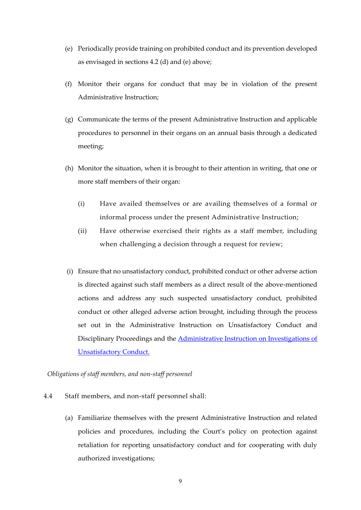- (e) Periodically provide training on prohibited conduct and its prevention developed as envisaged in sections 4.2 (d) and (e) above;
- (f) Monitor their organs for conduct that may be in violation of the present Administrative Instruction;
- (g) Communicate the terms of the present Administrative Instruction and applicable procedures to personnel in their organs on an annual basis through a dedicated meeting;
- (h) Monitor the situation, when it is brought to their attention in writing, that one or more staff members of their organ:
	- (i) Have availed themselves or are availing themselves of a formal or informal process under the present Administrative Instruction;
	- (ii) Have otherwise exercised their rights as a staff member, including when challenging a decision through a request for review;
- (i) Ensure that no unsatisfactory conduct, prohibited conduct or other adverse action is directed against such staff members as a direct result of the above-mentioned actions and address any such suspected unsatisfactory conduct, prohibited conduct or other alleged adverse action brought, including through the process set out in the Administrative Instruction on Unsatisfactory Conduct and Disciplinary Proceedings and the [Administrative Instruction on Investigations of](https://www.icc-cpi.int/Vademecum/ICC_AI_2022_001-ENG_INVESTIGATIONS-OF-UNSATISFACTORY-CONDUCT.pdf)  [Unsatisfactory Conduct.](https://www.icc-cpi.int/Vademecum/ICC_AI_2022_001-ENG_INVESTIGATIONS-OF-UNSATISFACTORY-CONDUCT.pdf)

*Obligations of staff members, and non-staff personnel* 

- 4.4 Staff members, and non-staff personnel shall:
	- (a) Familiarize themselves with the present Administrative Instruction and related policies and procedures, including the Court's policy on protection against retaliation for reporting unsatisfactory conduct and for cooperating with duly authorized investigations;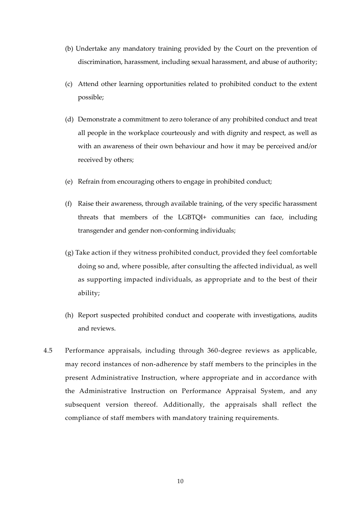- (b) Undertake any mandatory training provided by the Court on the prevention of discrimination, harassment, including sexual harassment, and abuse of authority;
- (c) Attend other learning opportunities related to prohibited conduct to the extent possible;
- (d) Demonstrate a commitment to zero tolerance of any prohibited conduct and treat all people in the workplace courteously and with dignity and respect, as well as with an awareness of their own behaviour and how it may be perceived and/or received by others;
- (e) Refrain from encouraging others to engage in prohibited conduct;
- (f) Raise their awareness, through available training, of the very specific harassment threats that members of the LGBTQI+ communities can face, including transgender and gender non-conforming individuals;
- (g) Take action if they witness prohibited conduct, provided they feel comfortable doing so and, where possible, after consulting the affected individual, as well as supporting impacted individuals, as appropriate and to the best of their ability;
- (h) Report suspected prohibited conduct and cooperate with investigations, audits and reviews.
- 4.5 Performance appraisals, including through 360-degree reviews as applicable, may record instances of non-adherence by staff members to the principles in the present Administrative Instruction, where appropriate and in accordance with the Administrative Instruction on Performance Appraisal System, and any subsequent version thereof. Additionally, the appraisals shall reflect the compliance of staff members with mandatory training requirements.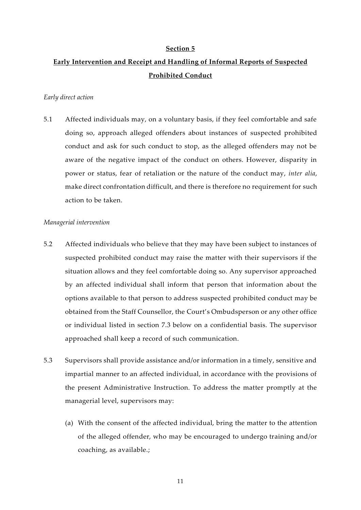# **Early Intervention and Receipt and Handling of Informal Reports of Suspected Prohibited Conduct**

### *Early direct action*

5.1 Affected individuals may, on a voluntary basis, if they feel comfortable and safe doing so, approach alleged offenders about instances of suspected prohibited conduct and ask for such conduct to stop, as the alleged offenders may not be aware of the negative impact of the conduct on others. However, disparity in power or status, fear of retaliation or the nature of the conduct may, *inter alia*, make direct confrontation difficult, and there is therefore no requirement for such action to be taken.

#### *Managerial intervention*

- 5.2 Affected individuals who believe that they may have been subject to instances of suspected prohibited conduct may raise the matter with their supervisors if the situation allows and they feel comfortable doing so. Any supervisor approached by an affected individual shall inform that person that information about the options available to that person to address suspected prohibited conduct may be obtained from the Staff Counsellor, the Court's Ombudsperson or any other office or individual listed in section 7.3 below on a confidential basis. The supervisor approached shall keep a record of such communication.
- 5.3 Supervisors shall provide assistance and/or information in a timely, sensitive and impartial manner to an affected individual, in accordance with the provisions of the present Administrative Instruction. To address the matter promptly at the managerial level, supervisors may:
	- (a) With the consent of the affected individual, bring the matter to the attention of the alleged offender, who may be encouraged to undergo training and/or coaching, as available.;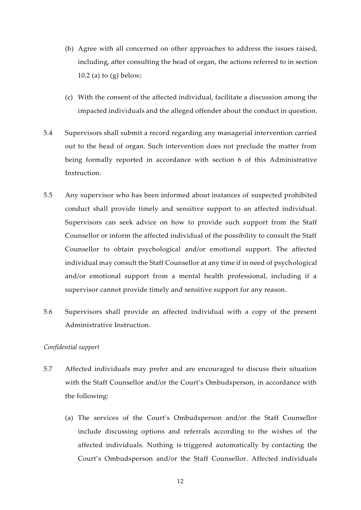- (b) Agree with all concerned on other approaches to address the issues raised, including, after consulting the head of organ, the actions referred to in section 10.2 (a) to (g) below;
- (c) With the consent of the affected individual, facilitate a discussion among the impacted individuals and the alleged offender about the conduct in question.
- 5.4 Supervisors shall submit a record regarding any managerial intervention carried out to the head of organ. Such intervention does not preclude the matter from being formally reported in accordance with section 6 of this Administrative Instruction.
- 5.5 Any supervisor who has been informed about instances of suspected prohibited conduct shall provide timely and sensitive support to an affected individual. Supervisors can seek advice on how to provide such support from the Staff Counsellor or inform the affected individual of the possibility to consult the Staff Counsellor to obtain psychological and/or emotional support. The affected individual may consult the Staff Counsellor at any time if in need of psychological and/or emotional support from a mental health professional, including if a supervisor cannot provide timely and sensitive support for any reason.
- 5.6 Supervisors shall provide an affected individual with a copy of the present Administrative Instruction.

### *Confidential support*

- 5.7 Affected individuals may prefer and are encouraged to discuss their situation with the Staff Counsellor and/or the Court's Ombudsperson, in accordance with the following:
	- (a) The services of the Court's Ombudsperson and/or the Staff Counsellor include discussing options and referrals according to the wishes of the affected individuals. Nothing is triggered automatically by contacting the Court's Ombudsperson and/or the Staff Counsellor. Affected individuals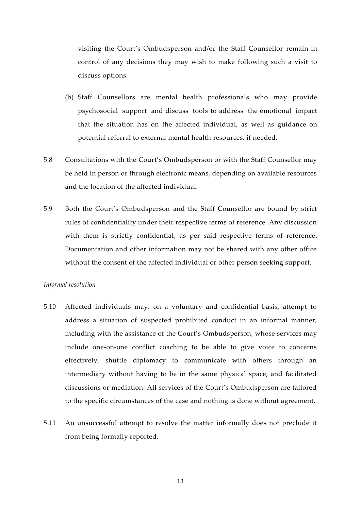visiting the Court's Ombudsperson and/or the Staff Counsellor remain in control of any decisions they may wish to make following such a visit to discuss options.

- (b) Staff Counsellors are mental health professionals who may provide psychosocial support and discuss tools to address the emotional impact that the situation has on the affected individual, as well as guidance on potential referral to external mental health resources, if needed.
- 5.8 Consultations with the Court's Ombudsperson or with the Staff Counsellor may be held in person or through electronic means, depending on available resources and the location of the affected individual.
- 5.9 Both the Court's Ombudsperson and the Staff Counsellor are bound by strict rules of confidentiality under their respective terms of reference. Any discussion with them is strictly confidential, as per said respective terms of reference. Documentation and other information may not be shared with any other office without the consent of the affected individual or other person seeking support.

#### *Informal resolution*

- 5.10 Affected individuals may, on a voluntary and confidential basis, attempt to address a situation of suspected prohibited conduct in an informal manner, including with the assistance of the Court's Ombudsperson, whose services may include one-on-one conflict coaching to be able to give voice to concerns effectively, shuttle diplomacy to communicate with others through an intermediary without having to be in the same physical space, and facilitated discussions or mediation. All services of the Court's Ombudsperson are tailored to the specific circumstances of the case and nothing is done without agreement.
- 5.11 An unsuccessful attempt to resolve the matter informally does not preclude it from being formally reported.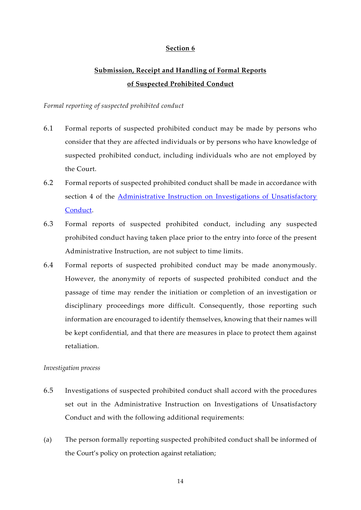# **Submission, Receipt and Handling of Formal Reports of Suspected Prohibited Conduct**

### *Formal reporting of suspected prohibited conduct*

- 6.1 Formal reports of suspected prohibited conduct may be made by persons who consider that they are affected individuals or by persons who have knowledge of suspected prohibited conduct, including individuals who are not employed by the Court.
- 6.2 Formal reports of suspected prohibited conduct shall be made in accordance with section 4 of the [Administrative Instruction on Investigations of Unsatisfactory](https://www.icc-cpi.int/Vademecum/ICC_AI_2022_001-ENG_INVESTIGATIONS-OF-UNSATISFACTORY-CONDUCT.pdf)  [Conduct.](https://www.icc-cpi.int/Vademecum/ICC_AI_2022_001-ENG_INVESTIGATIONS-OF-UNSATISFACTORY-CONDUCT.pdf)
- 6.3 Formal reports of suspected prohibited conduct, including any suspected prohibited conduct having taken place prior to the entry into force of the present Administrative Instruction, are not subject to time limits.
- 6.4 Formal reports of suspected prohibited conduct may be made anonymously. However, the anonymity of reports of suspected prohibited conduct and the passage of time may render the initiation or completion of an investigation or disciplinary proceedings more difficult. Consequently, those reporting such information are encouraged to identify themselves, knowing that their names will be kept confidential, and that there are measures in place to protect them against retaliation.

### *Investigation process*

- 6.5 Investigations of suspected prohibited conduct shall accord with the procedures set out in the Administrative Instruction on Investigations of Unsatisfactory Conduct and with the following additional requirements:
- (a) The person formally reporting suspected prohibited conduct shall be informed of the Court's policy on protection against retaliation;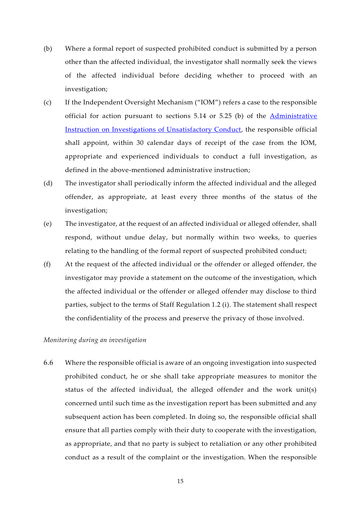- (b) Where a formal report of suspected prohibited conduct is submitted by a person other than the affected individual, the investigator shall normally seek the views of the affected individual before deciding whether to proceed with an investigation;
- (c) If the Independent Oversight Mechanism ("IOM") refers a case to the responsible official for action pursuant to sections 5.14 or 5.25 (b) of the [Administrative](https://www.icc-cpi.int/Vademecum/ICC_AI_2022_001-ENG_INVESTIGATIONS-OF-UNSATISFACTORY-CONDUCT.pdf)  [Instruction on Investigations of Unsatisfactory Conduct,](https://www.icc-cpi.int/Vademecum/ICC_AI_2022_001-ENG_INVESTIGATIONS-OF-UNSATISFACTORY-CONDUCT.pdf) the responsible official shall appoint, within 30 calendar days of receipt of the case from the IOM, appropriate and experienced individuals to conduct a full investigation, as defined in the above-mentioned administrative instruction;
- (d) The investigator shall periodically inform the affected individual and the alleged offender, as appropriate, at least every three months of the status of the investigation;
- (e) The investigator, at the request of an affected individual or alleged offender, shall respond, without undue delay, but normally within two weeks, to queries relating to the handling of the formal report of suspected prohibited conduct;
- (f) At the request of the affected individual or the offender or alleged offender, the investigator may provide a statement on the outcome of the investigation, which the affected individual or the offender or alleged offender may disclose to third parties, subject to the terms of Staff Regulation 1.2 (i). The statement shall respect the confidentiality of the process and preserve the privacy of those involved.

#### *Monitoring during an investigation*

6.6 Where the responsible official is aware of an ongoing investigation into suspected prohibited conduct, he or she shall take appropriate measures to monitor the status of the affected individual, the alleged offender and the work unit(s) concerned until such time as the investigation report has been submitted and any subsequent action has been completed. In doing so, the responsible official shall ensure that all parties comply with their duty to cooperate with the investigation, as appropriate, and that no party is subject to retaliation or any other prohibited conduct as a result of the complaint or the investigation. When the responsible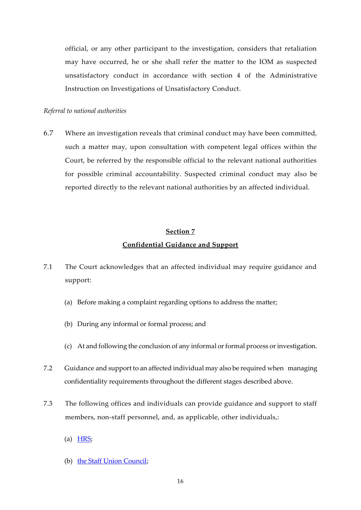official, or any other participant to the investigation, considers that retaliation may have occurred, he or she shall refer the matter to the IOM as suspected unsatisfactory conduct in accordance with section 4 of the Administrative Instruction on Investigations of Unsatisfactory Conduct.

### *Referral to national authorities*

6.7 Where an investigation reveals that criminal conduct may have been committed, such a matter may, upon consultation with competent legal offices within the Court, be referred by the responsible official to the relevant national authorities for possible criminal accountability. Suspected criminal conduct may also be reported directly to the relevant national authorities by an affected individual.

### **Section 7**

#### **Confidential Guidance and Support**

- 7.1 The Court acknowledges that an affected individual may require guidance and support:
	- (a) Before making a complaint regarding options to address the matter;
	- (b) During any informal or formal process; and
	- (c) At and following the conclusion of any informal or formal process or investigation.
- 7.2 Guidance and support to an affected individual may also be required when managing confidentiality requirements throughout the different stages described above.
- 7.3 The following offices and individuals can provide guidance and support to staff members, non-staff personnel, and, as applicable, other individuals,:
	- (a)  $HRS$ ;
	- (b) [the Staff Union Council;](https://intranet.icc.int/icc/suc/SitePages/Homepage.aspx)

16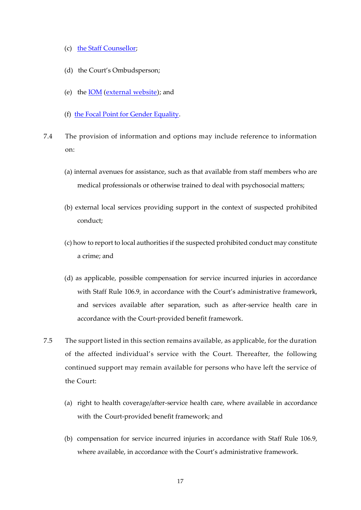- (c) [the Staff Counsellor;](https://intranet.icc.int/registry/ooddms/Health/StaffWelfare/Psycho/default.aspx)
- (d) the Court's Ombudsperson;
- (e) the [IOM](https://intranet.icc.int/icc/iom/default.aspx) [\(external website\)](https://www.icc-cpi.int/iom); and
- (f) [the Focal Point for Gender Equality.](https://intranet.icc.int/icc/ge/SitePages/Home.aspx)
- 7.4 The provision of information and options may include reference to information on:
	- (a) internal avenues for assistance, such as that available from staff members who are medical professionals or otherwise trained to deal with psychosocial matters;
	- (b) external local services providing support in the context of suspected prohibited conduct;
	- (c) how to report to local authorities if the suspected prohibited conduct may constitute a crime; and
	- (d) as applicable, possible compensation for service incurred injuries in accordance with Staff Rule 106.9, in accordance with the Court's administrative framework, and services available after separation, such as after-service health care in accordance with the Court-provided benefit framework.
- 7.5 The support listed in this section remains available, as applicable, for the duration of the affected individual's service with the Court. Thereafter, the following continued support may remain available for persons who have left the service of the Court:
	- (a) right to health coverage/after-service health care, where available in accordance with the Court-provided benefit framework; and
	- (b) compensation for service incurred injuries in accordance with Staff Rule 106.9, where available, in accordance with the Court's administrative framework.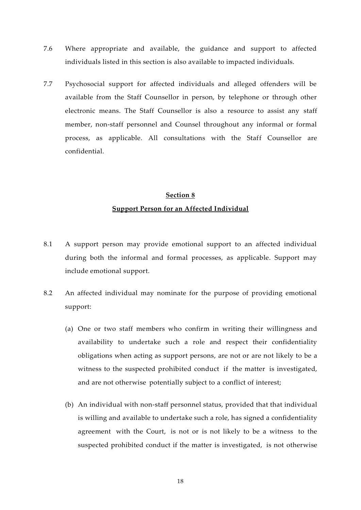- 7.6 Where appropriate and available, the guidance and support to affected individuals listed in this section is also available to impacted individuals.
- 7.7 Psychosocial support for affected individuals and alleged offenders will be available from the Staff Counsellor in person, by telephone or through other electronic means. The Staff Counsellor is also a resource to assist any staff member, non-staff personnel and Counsel throughout any informal or formal process, as applicable. All consultations with the Staff Counsellor are confidential.

# **Section 8 Support Person for an Affected Individual**

- 8.1 A support person may provide emotional support to an affected individual during both the informal and formal processes, as applicable. Support may include emotional support.
- 8.2 An affected individual may nominate for the purpose of providing emotional support:
	- (a) One or two staff members who confirm in writing their willingness and availability to undertake such a role and respect their confidentiality obligations when acting as support persons, are not or are not likely to be a witness to the suspected prohibited conduct if the matter is investigated, and are not otherwise potentially subject to a conflict of interest;
	- (b) An individual with non-staff personnel status, provided that that individual is willing and available to undertake such a role, has signed a confidentiality agreement with the Court, is not or is not likely to be a witness to the suspected prohibited conduct if the matter is investigated, is not otherwise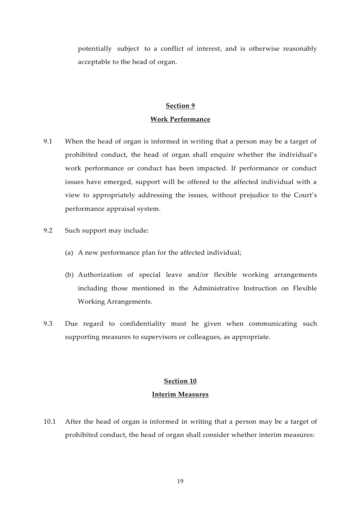potentially subject to a conflict of interest, and is otherwise reasonably acceptable to the head of organ.

# **Section 9 Work Performance**

- 9.1 When the head of organ is informed in writing that a person may be a target of prohibited conduct, the head of organ shall enquire whether the individual's work performance or conduct has been impacted. If performance or conduct issues have emerged, support will be offered to the affected individual with a view to appropriately addressing the issues, without prejudice to the Court's performance appraisal system.
- 9.2 Such support may include:
	- (a) A new performance plan for the affected individual;
	- (b) Authorization of special leave and/or flexible working arrangements including those mentioned in the Administrative Instruction on Flexible Working Arrangements.
- 9.3 Due regard to confidentiality must be given when communicating such supporting measures to supervisors or colleagues, as appropriate.

### **Section 10**

### **Interim Measures**

10.1 After the head of organ is informed in writing that a person may be a target of prohibited conduct, the head of organ shall consider whether interim measures: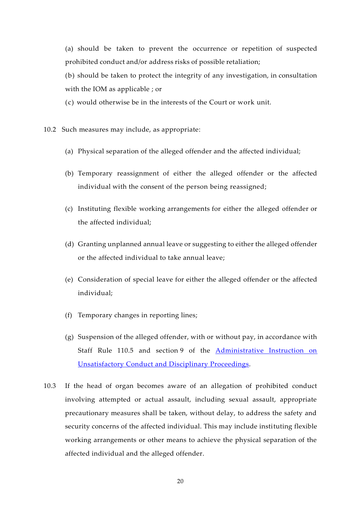(a) should be taken to prevent the occurrence or repetition of suspected prohibited conduct and/or address risks of possible retaliation;

(b) should be taken to protect the integrity of any investigation, in consultation with the IOM as applicable ; or

(c) would otherwise be in the interests of the Court or work unit.

10.2 Such measures may include, as appropriate:

- (a) Physical separation of the alleged offender and the affected individual;
- (b) Temporary reassignment of either the alleged offender or the affected individual with the consent of the person being reassigned;
- (c) Instituting flexible working arrangements for either the alleged offender or the affected individual;
- (d) Granting unplanned annual leave or suggesting to either the alleged offender or the affected individual to take annual leave;
- (e) Consideration of special leave for either the alleged offender or the affected individual;
- (f) Temporary changes in reporting lines;
- (g) Suspension of the alleged offender, with or without pay, in accordance with Staff Rule 110.5 and section 9 of the [Administrative Instruction on](https://www.icc-cpi.int/Vademecum/ICC_AI_2022_002-ENG_UNSATISFACTORY-CONDUCT-AND-DISCIPLINARY-PROCEEDINGS.PDF)  [Unsatisfactory Conduct and Disciplinary Proceedings.](https://www.icc-cpi.int/Vademecum/ICC_AI_2022_002-ENG_UNSATISFACTORY-CONDUCT-AND-DISCIPLINARY-PROCEEDINGS.PDF)
- 10.3 If the head of organ becomes aware of an allegation of prohibited conduct involving attempted or actual assault, including sexual assault, appropriate precautionary measures shall be taken, without delay, to address the safety and security concerns of the affected individual. This may include instituting flexible working arrangements or other means to achieve the physical separation of the affected individual and the alleged offender.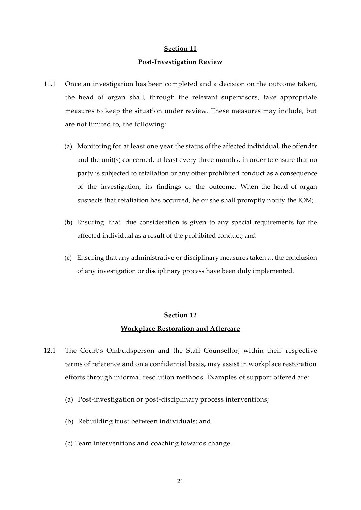#### **Post-Investigation Review**

- 11.1 Once an investigation has been completed and a decision on the outcome taken, the head of organ shall, through the relevant supervisors, take appropriate measures to keep the situation under review. These measures may include, but are not limited to, the following:
	- (a) Monitoring for at least one year the status of the affected individual, the offender and the unit(s) concerned, at least every three months, in order to ensure that no party is subjected to retaliation or any other prohibited conduct as a consequence of the investigation, its findings or the outcome. When the head of organ suspects that retaliation has occurred, he or she shall promptly notify the IOM;
	- (b) Ensuring that due consideration is given to any special requirements for the affected individual as a result of the prohibited conduct; and
	- (c) Ensuring that any administrative or disciplinary measures taken at the conclusion of any investigation or disciplinary process have been duly implemented.

## **Section 12**

### **Workplace Restoration and Aftercare**

- 12.1 The Court's Ombudsperson and the Staff Counsellor, within their respective terms of reference and on a confidential basis, may assist in workplace restoration efforts through informal resolution methods. Examples of support offered are:
	- (a) Post-investigation or post-disciplinary process interventions;
	- (b) Rebuilding trust between individuals; and
	- (c) Team interventions and coaching towards change.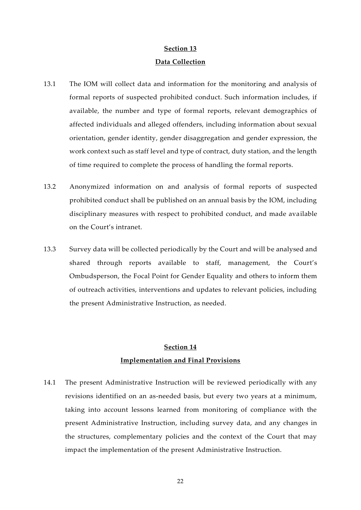### **Data Collection**

- 13.1 The IOM will collect data and information for the monitoring and analysis of formal reports of suspected prohibited conduct. Such information includes, if available, the number and type of formal reports, relevant demographics of affected individuals and alleged offenders, including information about sexual orientation, gender identity, gender disaggregation and gender expression, the work context such as staff level and type of contract, duty station, and the length of time required to complete the process of handling the formal reports.
- 13.2 Anonymized information on and analysis of formal reports of suspected prohibited conduct shall be published on an annual basis by the IOM, including disciplinary measures with respect to prohibited conduct, and made available on the Court's intranet.
- 13.3 Survey data will be collected periodically by the Court and will be analysed and shared through reports available to staff, management, the Court's Ombudsperson, the Focal Point for Gender Equality and others to inform them of outreach activities, interventions and updates to relevant policies, including the present Administrative Instruction, as needed.

### **Section 14**

### **Implementation and Final Provisions**

14.1 The present Administrative Instruction will be reviewed periodically with any revisions identified on an as-needed basis, but every two years at a minimum, taking into account lessons learned from monitoring of compliance with the present Administrative Instruction, including survey data, and any changes in the structures, complementary policies and the context of the Court that may impact the implementation of the present Administrative Instruction.